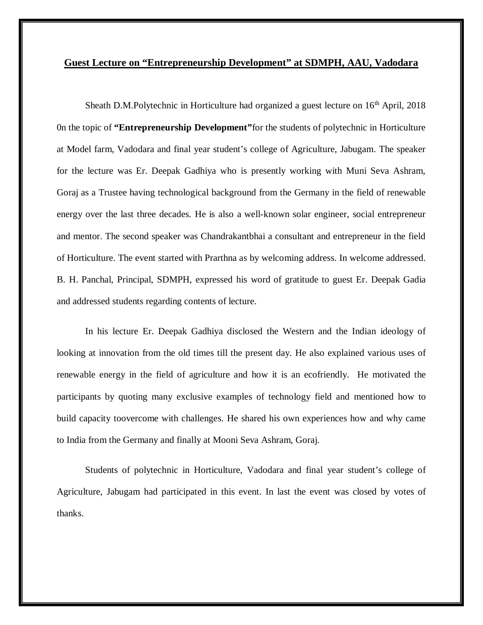## **Guest Lecture on "Entrepreneurship Development" at SDMPH, AAU, Vadodara**

Sheath D.M.Polytechnic in Horticulture had organized a guest lecture on  $16<sup>th</sup>$  April, 2018 0n the topic of **"Entrepreneurship Development"**for the students of polytechnic in Horticulture at Model farm, Vadodara and final year student's college of Agriculture, Jabugam. The speaker for the lecture was Er. Deepak Gadhiya who is presently working with Muni Seva Ashram, Goraj as a Trustee having technological background from the Germany in the field of renewable energy over the last three decades. He is also a well-known solar engineer, social entrepreneur and mentor. The second speaker was Chandrakantbhai a consultant and entrepreneur in the field of Horticulture. The event started with Prarthna as by welcoming address. In welcome addressed. B. H. Panchal, Principal, SDMPH, expressed his word of gratitude to guest Er. Deepak Gadia and addressed students regarding contents of lecture.

In his lecture Er. Deepak Gadhiya disclosed the Western and the Indian ideology of looking at innovation from the old times till the present day. He also explained various uses of renewable energy in the field of agriculture and how it is an ecofriendly. He motivated the participants by quoting many exclusive examples of technology field and mentioned how to build capacity toovercome with challenges. He shared his own experiences how and why came to India from the Germany and finally at Mooni Seva Ashram, Goraj.

Students of polytechnic in Horticulture, Vadodara and final year student's college of Agriculture, Jabugam had participated in this event. In last the event was closed by votes of thanks.